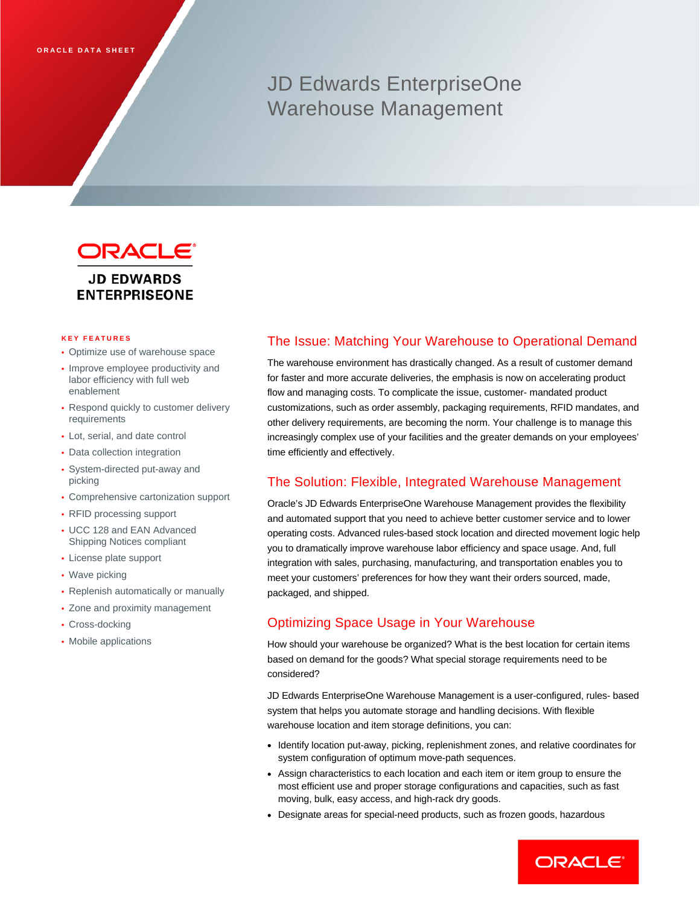## JD Edwards EnterpriseOne Warehouse Management



# **ENTERPRISEONE**

#### **KEY FEATURES**

- Optimize use of warehouse space
- Improve employee productivity and labor efficiency with full web enablement
- Respond quickly to customer delivery requirements
- Lot, serial, and date control
- Data collection integration
- System-directed put-away and picking
- Comprehensive cartonization support
- RFID processing support
- UCC 128 and EAN Advanced Shipping Notices compliant
- License plate support
- Wave picking
- Replenish automatically or manually
- Zone and proximity management
- Cross-docking
- Mobile applications

## The Issue: Matching Your Warehouse to Operational Demand

The warehouse environment has drastically changed. As a result of customer demand for faster and more accurate deliveries, the emphasis is now on accelerating product flow and managing costs. To complicate the issue, customer- mandated product customizations, such as order assembly, packaging requirements, RFID mandates, and other delivery requirements, are becoming the norm. Your challenge is to manage this increasingly complex use of your facilities and the greater demands on your employees' time efficiently and effectively.

### The Solution: Flexible, Integrated Warehouse Management

Oracle's JD Edwards EnterpriseOne Warehouse Management provides the flexibility and automated support that you need to achieve better customer service and to lower operating costs. Advanced rules-based stock location and directed movement logic help you to dramatically improve warehouse labor efficiency and space usage. And, full integration with sales, purchasing, manufacturing, and transportation enables you to meet your customers' preferences for how they want their orders sourced, made, packaged, and shipped.

## Optimizing Space Usage in Your Warehouse

How should your warehouse be organized? What is the best location for certain items based on demand for the goods? What special storage requirements need to be considered?

JD Edwards EnterpriseOne Warehouse Management is a user-configured, rules- based system that helps you automate storage and handling decisions. With flexible warehouse location and item storage definitions, you can:

- Identify location put-away, picking, replenishment zones, and relative coordinates for system configuration of optimum move-path sequences.
- Assign characteristics to each location and each item or item group to ensure the most efficient use and proper storage configurations and capacities, such as fast moving, bulk, easy access, and high-rack dry goods.
- Designate areas for special-need products, such as frozen goods, hazardous

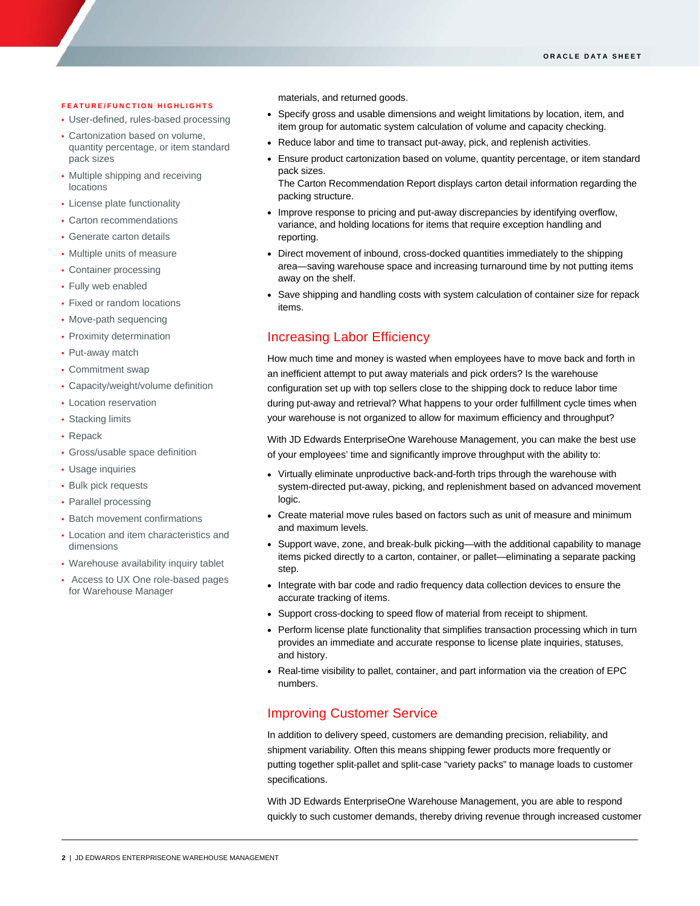#### **FEATURE/FUNCTION HIGHLIGHTS**

I

- User-defined, rules-based processing
- Cartonization based on volume, quantity percentage, or item standard pack sizes
- Multiple shipping and receiving locations
- License plate functionality
- Carton recommendations
- Generate carton details
- Multiple units of measure
- Container processing
- Fully web enabled
- Fixed or random locations
- Move-path sequencing
- Proximity determination
- Put-away match
- Commitment swap
- Capacity/weight/volume definition
- Location reservation
- Stacking limits
- Repack
- Gross/usable space definition
- Usage inquiries
- Bulk pick requests
- Parallel processing
- Batch movement confirmations
- Location and item characteristics and dimensions
- Warehouse availability inquiry tablet
- Access to UX One role-based pages for Warehouse Manager

materials, and returned goods.

- Specify gross and usable dimensions and weight limitations by location, item, and item group for automatic system calculation of volume and capacity checking.
- Reduce labor and time to transact put-away, pick, and replenish activities.
- Ensure product cartonization based on volume, quantity percentage, or item standard pack sizes.

The Carton Recommendation Report displays carton detail information regarding the packing structure.

- Improve response to pricing and put-away discrepancies by identifying overflow, variance, and holding locations for items that require exception handling and reporting.
- Direct movement of inbound, cross-docked quantities immediately to the shipping area—saving warehouse space and increasing turnaround time by not putting items away on the shelf.
- Save shipping and handling costs with system calculation of container size for repack items.

## Increasing Labor Efficiency

How much time and money is wasted when employees have to move back and forth in an inefficient attempt to put away materials and pick orders? Is the warehouse configuration set up with top sellers close to the shipping dock to reduce labor time during put-away and retrieval? What happens to your order fulfillment cycle times when your warehouse is not organized to allow for maximum efficiency and throughput?

With JD Edwards EnterpriseOne Warehouse Management, you can make the best use of your employees' time and significantly improve throughput with the ability to:

- Virtually eliminate unproductive back-and-forth trips through the warehouse with system-directed put-away, picking, and replenishment based on advanced movement logic.
- Create material move rules based on factors such as unit of measure and minimum and maximum levels.
- Support wave, zone, and break-bulk picking—with the additional capability to manage items picked directly to a carton, container, or pallet—eliminating a separate packing step.
- Integrate with bar code and radio frequency data collection devices to ensure the accurate tracking of items.
- Support cross-docking to speed flow of material from receipt to shipment.
- Perform license plate functionality that simplifies transaction processing which in turn provides an immediate and accurate response to license plate inquiries, statuses, and history.
- Real-time visibility to pallet, container, and part information via the creation of EPC numbers.

### Improving Customer Service

In addition to delivery speed, customers are demanding precision, reliability, and shipment variability. Often this means shipping fewer products more frequently or putting together split-pallet and split-case "variety packs" to manage loads to customer specifications.

With JD Edwards EnterpriseOne Warehouse Management, you are able to respond quickly to such customer demands, thereby driving revenue through increased customer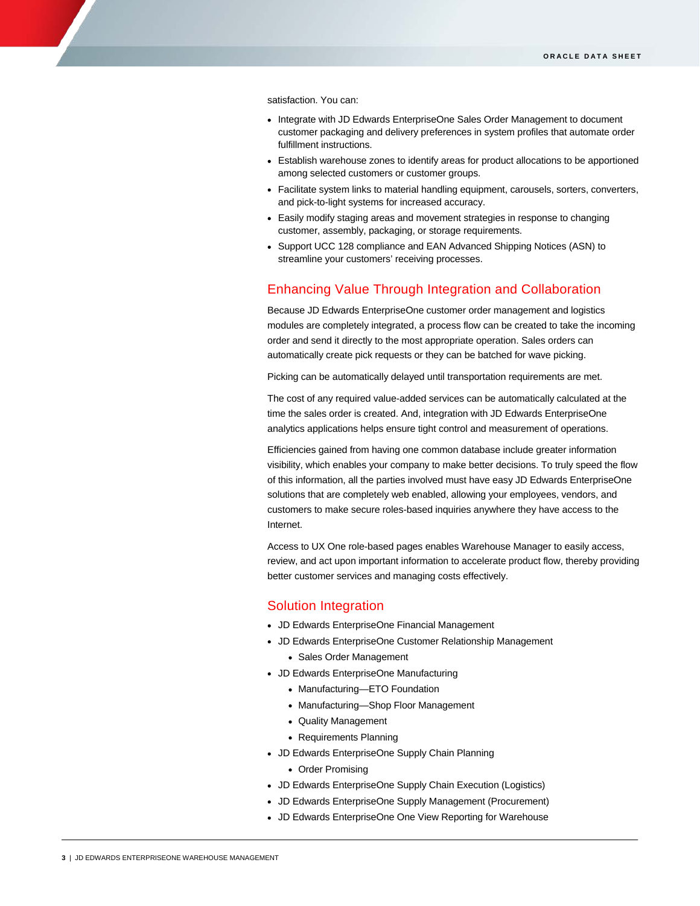satisfaction. You can:

I

- Integrate with JD Edwards EnterpriseOne Sales Order Management to document customer packaging and delivery preferences in system profiles that automate order fulfillment instructions.
- Establish warehouse zones to identify areas for product allocations to be apportioned among selected customers or customer groups.
- Facilitate system links to material handling equipment, carousels, sorters, converters, and pick-to-light systems for increased accuracy.
- Easily modify staging areas and movement strategies in response to changing customer, assembly, packaging, or storage requirements.
- Support UCC 128 compliance and EAN Advanced Shipping Notices (ASN) to streamline your customers' receiving processes.

### Enhancing Value Through Integration and Collaboration

Because JD Edwards EnterpriseOne customer order management and logistics modules are completely integrated, a process flow can be created to take the incoming order and send it directly to the most appropriate operation. Sales orders can automatically create pick requests or they can be batched for wave picking.

Picking can be automatically delayed until transportation requirements are met.

The cost of any required value-added services can be automatically calculated at the time the sales order is created. And, integration with JD Edwards EnterpriseOne analytics applications helps ensure tight control and measurement of operations.

Efficiencies gained from having one common database include greater information visibility, which enables your company to make better decisions. To truly speed the flow of this information, all the parties involved must have easy JD Edwards EnterpriseOne solutions that are completely web enabled, allowing your employees, vendors, and customers to make secure roles-based inquiries anywhere they have access to the Internet.

Access to UX One role-based pages enables Warehouse Manager to easily access, review, and act upon important information to accelerate product flow, thereby providing better customer services and managing costs effectively.

#### Solution Integration

- JD Edwards EnterpriseOne Financial Management
- JD Edwards EnterpriseOne Customer Relationship Management
	- Sales Order Management
- JD Edwards EnterpriseOne Manufacturing
	- Manufacturing—ETO Foundation
	- Manufacturing—Shop Floor Management
	- Quality Management
	- Requirements Planning
- JD Edwards EnterpriseOne Supply Chain Planning
	- Order Promising
- JD Edwards EnterpriseOne Supply Chain Execution (Logistics)
- JD Edwards EnterpriseOne Supply Management (Procurement)
- JD Edwards EnterpriseOne One View Reporting for Warehouse